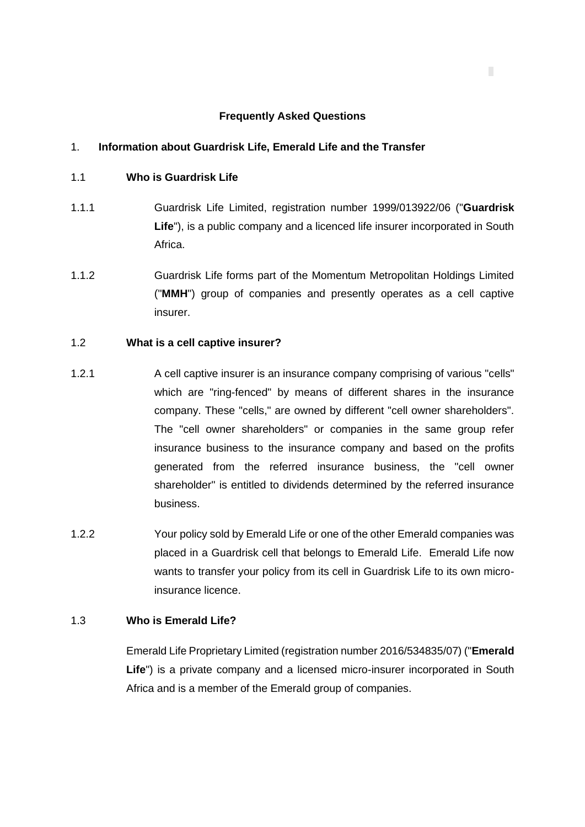#### **Frequently Asked Questions**

#### 1. **Information about Guardrisk Life, Emerald Life and the Transfer**

- 1.1 **Who is Guardrisk Life**
- 1.1.1 Guardrisk Life Limited, registration number 1999/013922/06 ("**Guardrisk Life**"), is a public company and a licenced life insurer incorporated in South Africa.
- 1.1.2 Guardrisk Life forms part of the Momentum Metropolitan Holdings Limited ("**MMH**") group of companies and presently operates as a cell captive insurer.

## 1.2 **What is a cell captive insurer?**

- 1.2.1 A cell captive insurer is an insurance company comprising of various "cells" which are "ring-fenced" by means of different shares in the insurance company. These "cells," are owned by different "cell owner shareholders". The "cell owner shareholders" or companies in the same group refer insurance business to the insurance company and based on the profits generated from the referred insurance business, the "cell owner shareholder" is entitled to dividends determined by the referred insurance business.
- 1.2.2 Your policy sold by Emerald Life or one of the other Emerald companies was placed in a Guardrisk cell that belongs to Emerald Life. Emerald Life now wants to transfer your policy from its cell in Guardrisk Life to its own microinsurance licence.

## 1.3 **Who is Emerald Life?**

Emerald Life Proprietary Limited (registration number 2016/534835/07) ("**Emerald Life**") is a private company and a licensed micro-insurer incorporated in South Africa and is a member of the Emerald group of companies.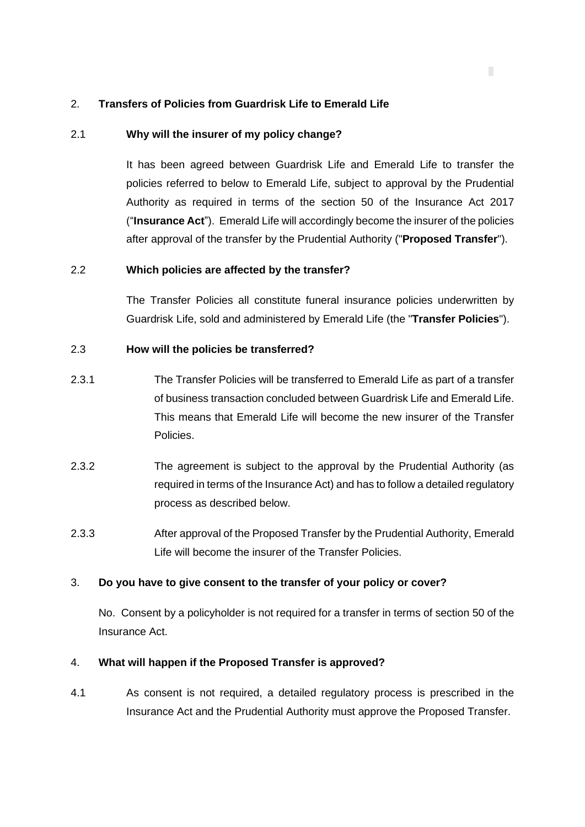## 2. **Transfers of Policies from Guardrisk Life to Emerald Life**

## 2.1 **Why will the insurer of my policy change?**

It has been agreed between Guardrisk Life and Emerald Life to transfer the policies referred to below to Emerald Life, subject to approval by the Prudential Authority as required in terms of the section 50 of the Insurance Act 2017 ("**Insurance Act**"). Emerald Life will accordingly become the insurer of the policies after approval of the transfer by the Prudential Authority ("**Proposed Transfer**").

#### 2.2 **Which policies are affected by the transfer?**

The Transfer Policies all constitute funeral insurance policies underwritten by Guardrisk Life, sold and administered by Emerald Life (the "**Transfer Policies**").

## 2.3 **How will the policies be transferred?**

- 2.3.1 The Transfer Policies will be transferred to Emerald Life as part of a transfer of business transaction concluded between Guardrisk Life and Emerald Life. This means that Emerald Life will become the new insurer of the Transfer Policies.
- 2.3.2 The agreement is subject to the approval by the Prudential Authority (as required in terms of the Insurance Act) and has to follow a detailed regulatory process as described below.
- 2.3.3 After approval of the Proposed Transfer by the Prudential Authority, Emerald Life will become the insurer of the Transfer Policies.

#### 3. **Do you have to give consent to the transfer of your policy or cover?**

No. Consent by a policyholder is not required for a transfer in terms of section 50 of the Insurance Act.

#### 4. **What will happen if the Proposed Transfer is approved?**

4.1 As consent is not required, a detailed regulatory process is prescribed in the Insurance Act and the Prudential Authority must approve the Proposed Transfer.

п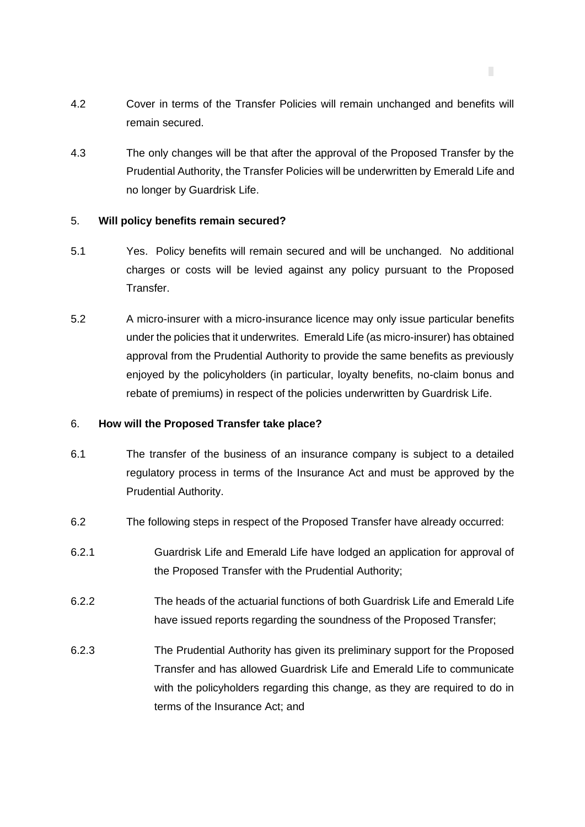4.2 Cover in terms of the Transfer Policies will remain unchanged and benefits will remain secured.

п

4.3 The only changes will be that after the approval of the Proposed Transfer by the Prudential Authority, the Transfer Policies will be underwritten by Emerald Life and no longer by Guardrisk Life.

#### 5. **Will policy benefits remain secured?**

- 5.1 Yes. Policy benefits will remain secured and will be unchanged. No additional charges or costs will be levied against any policy pursuant to the Proposed Transfer.
- 5.2 A micro-insurer with a micro-insurance licence may only issue particular benefits under the policies that it underwrites. Emerald Life (as micro-insurer) has obtained approval from the Prudential Authority to provide the same benefits as previously enjoyed by the policyholders (in particular, loyalty benefits, no-claim bonus and rebate of premiums) in respect of the policies underwritten by Guardrisk Life.

#### 6. **How will the Proposed Transfer take place?**

- 6.1 The transfer of the business of an insurance company is subject to a detailed regulatory process in terms of the Insurance Act and must be approved by the Prudential Authority.
- 6.2 The following steps in respect of the Proposed Transfer have already occurred:
- 6.2.1 Guardrisk Life and Emerald Life have lodged an application for approval of the Proposed Transfer with the Prudential Authority;
- 6.2.2 The heads of the actuarial functions of both Guardrisk Life and Emerald Life have issued reports regarding the soundness of the Proposed Transfer;
- 6.2.3 The Prudential Authority has given its preliminary support for the Proposed Transfer and has allowed Guardrisk Life and Emerald Life to communicate with the policyholders regarding this change, as they are required to do in terms of the Insurance Act; and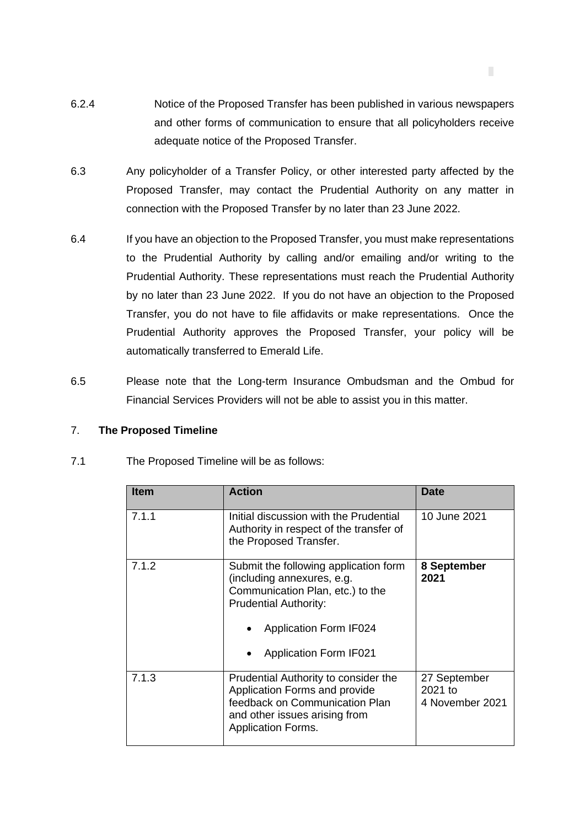6.2.4 Notice of the Proposed Transfer has been published in various newspapers and other forms of communication to ensure that all policyholders receive adequate notice of the Proposed Transfer.

П

- 6.3 Any policyholder of a Transfer Policy, or other interested party affected by the Proposed Transfer, may contact the Prudential Authority on any matter in connection with the Proposed Transfer by no later than 23 June 2022.
- 6.4 If you have an objection to the Proposed Transfer, you must make representations to the Prudential Authority by calling and/or emailing and/or writing to the Prudential Authority. These representations must reach the Prudential Authority by no later than 23 June 2022. If you do not have an objection to the Proposed Transfer, you do not have to file affidavits or make representations. Once the Prudential Authority approves the Proposed Transfer, your policy will be automatically transferred to Emerald Life.
- 6.5 Please note that the Long-term Insurance Ombudsman and the Ombud for Financial Services Providers will not be able to assist you in this matter.

# 7. **The Proposed Timeline**

| <b>Item</b> | <b>Action</b>                                                                                                                                                                                             | Date                                         |
|-------------|-----------------------------------------------------------------------------------------------------------------------------------------------------------------------------------------------------------|----------------------------------------------|
| 7.1.1       | Initial discussion with the Prudential<br>Authority in respect of the transfer of<br>the Proposed Transfer.                                                                                               | 10 June 2021                                 |
| 7.1.2       | Submit the following application form<br>(including annexures, e.g.<br>Communication Plan, etc.) to the<br><b>Prudential Authority:</b><br><b>Application Form IF024</b><br><b>Application Form IF021</b> | 8 September<br>2021                          |
| 7.1.3       | Prudential Authority to consider the<br>Application Forms and provide<br>feedback on Communication Plan<br>and other issues arising from<br><b>Application Forms.</b>                                     | 27 September<br>$2021$ to<br>4 November 2021 |

7.1 The Proposed Timeline will be as follows: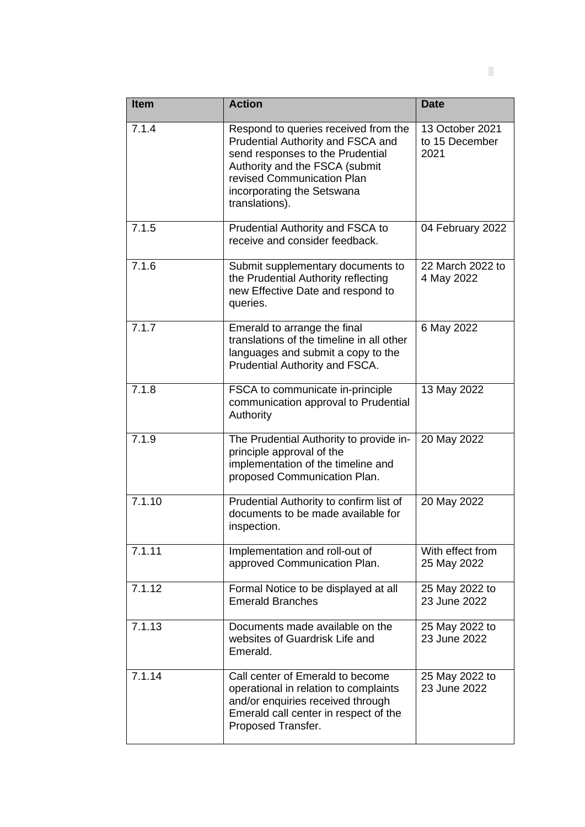| <b>Item</b> | <b>Action</b>                                                                                                                                                                                                                 | <b>Date</b>                               |
|-------------|-------------------------------------------------------------------------------------------------------------------------------------------------------------------------------------------------------------------------------|-------------------------------------------|
| 7.1.4       | Respond to queries received from the<br>Prudential Authority and FSCA and<br>send responses to the Prudential<br>Authority and the FSCA (submit<br>revised Communication Plan<br>incorporating the Setswana<br>translations). | 13 October 2021<br>to 15 December<br>2021 |
| 7.1.5       | Prudential Authority and FSCA to<br>receive and consider feedback.                                                                                                                                                            | 04 February 2022                          |
| 7.1.6       | Submit supplementary documents to<br>the Prudential Authority reflecting<br>new Effective Date and respond to<br>queries.                                                                                                     | 22 March 2022 to<br>4 May 2022            |
| 7.1.7       | Emerald to arrange the final<br>translations of the timeline in all other<br>languages and submit a copy to the<br>Prudential Authority and FSCA.                                                                             | 6 May 2022                                |
| 7.1.8       | FSCA to communicate in-principle<br>communication approval to Prudential<br>Authority                                                                                                                                         | 13 May 2022                               |
| 7.1.9       | The Prudential Authority to provide in-<br>principle approval of the<br>implementation of the timeline and<br>proposed Communication Plan.                                                                                    | 20 May 2022                               |
| 7.1.10      | Prudential Authority to confirm list of<br>documents to be made available for<br>inspection.                                                                                                                                  | 20 May 2022                               |
| 7.1.11      | Implementation and roll-out of<br>approved Communication Plan.                                                                                                                                                                | With effect from<br>25 May 2022           |
| 7.1.12      | Formal Notice to be displayed at all<br><b>Emerald Branches</b>                                                                                                                                                               | 25 May 2022 to<br>23 June 2022            |
| 7.1.13      | Documents made available on the<br>websites of Guardrisk Life and<br>Emerald.                                                                                                                                                 | 25 May 2022 to<br>23 June 2022            |
| 7.1.14      | Call center of Emerald to become<br>operational in relation to complaints<br>and/or enquiries received through<br>Emerald call center in respect of the<br>Proposed Transfer.                                                 | 25 May 2022 to<br>23 June 2022            |

**Contractor**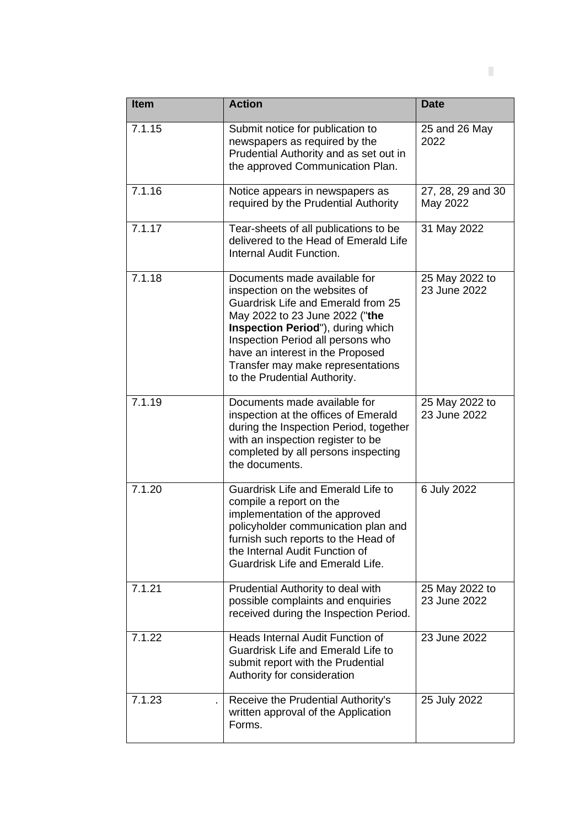| <b>Item</b> | <b>Action</b>                                                                                                                                                                                                                                                                                                            | <b>Date</b>                    |
|-------------|--------------------------------------------------------------------------------------------------------------------------------------------------------------------------------------------------------------------------------------------------------------------------------------------------------------------------|--------------------------------|
| 7.1.15      | Submit notice for publication to<br>newspapers as required by the<br>Prudential Authority and as set out in<br>the approved Communication Plan.                                                                                                                                                                          | 25 and 26 May<br>2022          |
| 7.1.16      | Notice appears in newspapers as<br>required by the Prudential Authority                                                                                                                                                                                                                                                  | 27, 28, 29 and 30<br>May 2022  |
| 7.1.17      | Tear-sheets of all publications to be<br>delivered to the Head of Emerald Life<br>Internal Audit Function.                                                                                                                                                                                                               | 31 May 2022                    |
| 7.1.18      | Documents made available for<br>inspection on the websites of<br>Guardrisk Life and Emerald from 25<br>May 2022 to 23 June 2022 ("the<br>Inspection Period"), during which<br>Inspection Period all persons who<br>have an interest in the Proposed<br>Transfer may make representations<br>to the Prudential Authority. | 25 May 2022 to<br>23 June 2022 |
| 7.1.19      | Documents made available for<br>inspection at the offices of Emerald<br>during the Inspection Period, together<br>with an inspection register to be<br>completed by all persons inspecting<br>the documents.                                                                                                             | 25 May 2022 to<br>23 June 2022 |
| 7.1.20      | Guardrisk Life and Emerald Life to<br>compile a report on the<br>implementation of the approved<br>policyholder communication plan and<br>furnish such reports to the Head of<br>the Internal Audit Function of<br><b>Guardrisk Life and Emerald Life.</b>                                                               | 6 July 2022                    |
| 7.1.21      | Prudential Authority to deal with<br>possible complaints and enquiries<br>received during the Inspection Period.                                                                                                                                                                                                         | 25 May 2022 to<br>23 June 2022 |
| 7.1.22      | <b>Heads Internal Audit Function of</b><br>Guardrisk Life and Emerald Life to<br>submit report with the Prudential<br>Authority for consideration                                                                                                                                                                        | 23 June 2022                   |
| 7.1.23      | Receive the Prudential Authority's<br>written approval of the Application<br>Forms.                                                                                                                                                                                                                                      | 25 July 2022                   |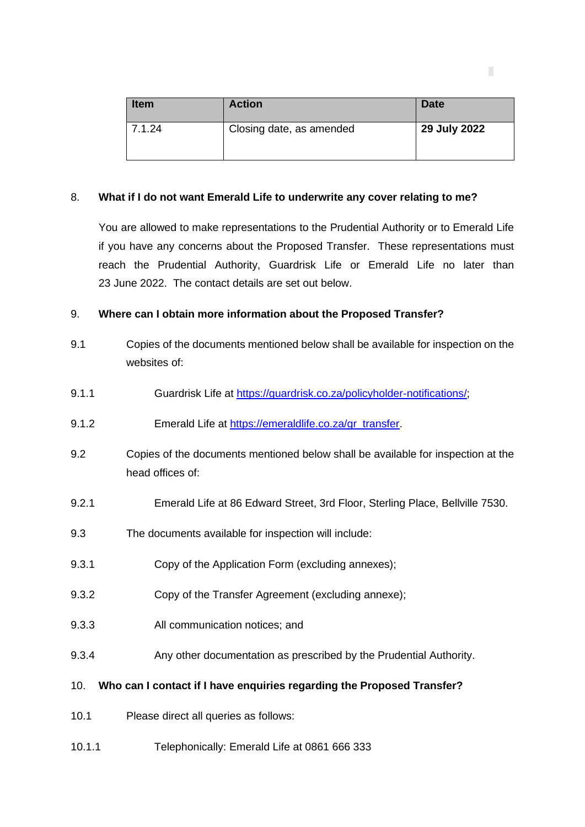| <b>Item</b> | <b>Action</b>            | <b>Date</b>  |
|-------------|--------------------------|--------------|
| 7.1.24      | Closing date, as amended | 29 July 2022 |

п

## 8. **What if I do not want Emerald Life to underwrite any cover relating to me?**

You are allowed to make representations to the Prudential Authority or to Emerald Life if you have any concerns about the Proposed Transfer. These representations must reach the Prudential Authority, Guardrisk Life or Emerald Life no later than 23 June 2022. The contact details are set out below.

## 9. **Where can I obtain more information about the Proposed Transfer?**

- 9.1 Copies of the documents mentioned below shall be available for inspection on the websites of:
- 9.1.1 Guardrisk Life at [https://guardrisk.co.za/policyholder-notifications/;](https://protect-za.mimecast.com/s/cxO-CRgKrnH5XvWKt93PE-?domain=guardrisk.co.za/)
- 9.1.2 Emerald Life at [https://emeraldlife.co.za/gr\\_transfer.](https://protect-za.mimecast.com/s/0946CoYn9KHvmL16h1DkMw?domain=emeraldlife.co.za)
- 9.2 Copies of the documents mentioned below shall be available for inspection at the head offices of:
- 9.2.1 Emerald Life at 86 Edward Street, 3rd Floor, Sterling Place, Bellville 7530.
- 9.3 The documents available for inspection will include:
- 9.3.1 Copy of the Application Form (excluding annexes);
- 9.3.2 Copy of the Transfer Agreement (excluding annexe);
- 9.3.3 All communication notices; and
- 9.3.4 Any other documentation as prescribed by the Prudential Authority.
- 10. **Who can I contact if I have enquiries regarding the Proposed Transfer?**
- 10.1 Please direct all queries as follows:
- 10.1.1 Telephonically: Emerald Life at 0861 666 333